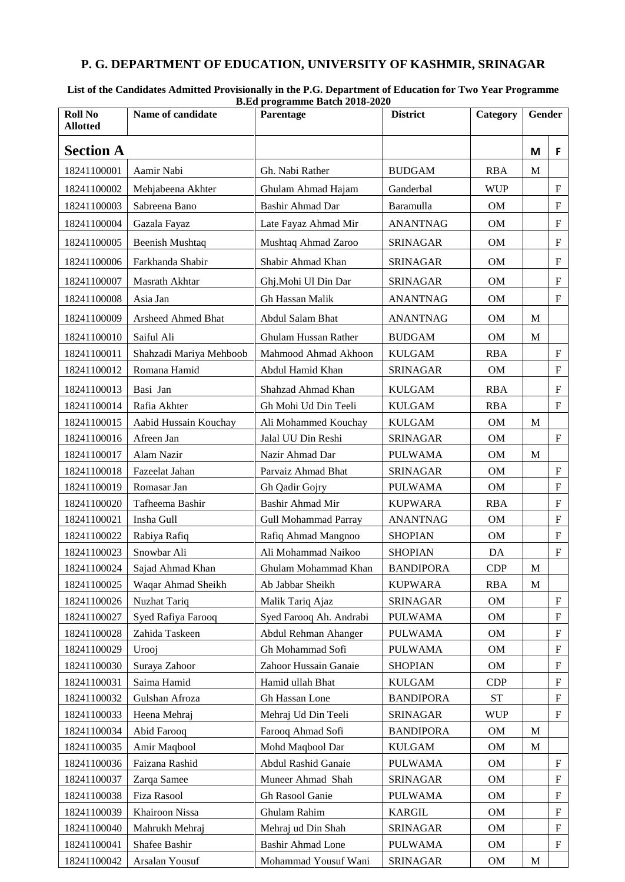## **P. G. DEPARTMENT OF EDUCATION, UNIVERSITY OF KASHMIR, SRINAGAR**

| List of the Candidates Admitted Provisionally in the P.G. Department of Education for Two Year Programme |  |
|----------------------------------------------------------------------------------------------------------|--|
| <b>B.Ed programme Batch 2018-2020</b>                                                                    |  |

| <b>Roll No</b><br><b>Allotted</b> | Name of candidate       | Parentage                   | <b>District</b>  | Category   | Gender |                           |
|-----------------------------------|-------------------------|-----------------------------|------------------|------------|--------|---------------------------|
| <b>Section A</b>                  |                         |                             |                  |            | M      | F                         |
| 18241100001                       | Aamir Nabi              | Gh. Nabi Rather             | <b>BUDGAM</b>    | <b>RBA</b> | M      |                           |
| 18241100002                       | Mehjabeena Akhter       | Ghulam Ahmad Hajam          | Ganderbal        | <b>WUP</b> |        | $\mathbf F$               |
| 18241100003                       | Sabreena Bano           | <b>Bashir Ahmad Dar</b>     | Baramulla        | OM         |        | $\mathbf F$               |
| 18241100004                       | Gazala Fayaz            | Late Fayaz Ahmad Mir        | <b>ANANTNAG</b>  | <b>OM</b>  |        | $\mathbf F$               |
| 18241100005                       | <b>Beenish Mushtaq</b>  | Mushtaq Ahmad Zaroo         | <b>SRINAGAR</b>  | OM         |        | $\boldsymbol{\mathrm{F}}$ |
| 18241100006                       | Farkhanda Shabir        | Shabir Ahmad Khan           | <b>SRINAGAR</b>  | OM         |        | $\boldsymbol{\mathrm{F}}$ |
| 18241100007                       | Masrath Akhtar          | Ghj.Mohi Ul Din Dar         | <b>SRINAGAR</b>  | OM         |        | $\boldsymbol{\mathrm{F}}$ |
| 18241100008                       | Asia Jan                | Gh Hassan Malik             | <b>ANANTNAG</b>  | <b>OM</b>  |        | $\mathbf F$               |
| 18241100009                       | Arsheed Ahmed Bhat      | Abdul Salam Bhat            | <b>ANANTNAG</b>  | OM         | M      |                           |
| 18241100010                       | Saiful Ali              | Ghulam Hussan Rather        | <b>BUDGAM</b>    | <b>OM</b>  | M      |                           |
| 18241100011                       | Shahzadi Mariya Mehboob | Mahmood Ahmad Akhoon        | <b>KULGAM</b>    | <b>RBA</b> |        | $\mathbf F$               |
| 18241100012                       | Romana Hamid            | Abdul Hamid Khan            | <b>SRINAGAR</b>  | OM         |        | $\mathbf F$               |
| 18241100013                       | Basi Jan                | Shahzad Ahmad Khan          | <b>KULGAM</b>    | <b>RBA</b> |        | $\mathbf F$               |
| 18241100014                       | Rafia Akhter            | Gh Mohi Ud Din Teeli        | <b>KULGAM</b>    | <b>RBA</b> |        | $\mathbf F$               |
| 18241100015                       | Aabid Hussain Kouchay   | Ali Mohammed Kouchay        | <b>KULGAM</b>    | <b>OM</b>  | M      |                           |
| 18241100016                       | Afreen Jan              | Jalal UU Din Reshi          | <b>SRINAGAR</b>  | OM         |        | $\mathbf{F}$              |
| 18241100017                       | Alam Nazir              | Nazir Ahmad Dar             | <b>PULWAMA</b>   | <b>OM</b>  | M      |                           |
| 18241100018                       | Fazeelat Jahan          | Parvaiz Ahmad Bhat          | <b>SRINAGAR</b>  | OM         |        | $\mathbf F$               |
| 18241100019                       | Romasar Jan             | Gh Qadir Gojry              | <b>PULWAMA</b>   | OM         |        | $\mathbf F$               |
| 18241100020                       | Tafheema Bashir         | <b>Bashir Ahmad Mir</b>     | <b>KUPWARA</b>   | <b>RBA</b> |        | $\mathbf F$               |
| 18241100021                       | Insha Gull              | <b>Gull Mohammad Parray</b> | <b>ANANTNAG</b>  | OM         |        | $\mathbf F$               |
| 18241100022                       | Rabiya Rafiq            | Rafiq Ahmad Mangnoo         | <b>SHOPIAN</b>   | <b>OM</b>  |        | $\mathbf F$               |
| 18241100023                       | Snowbar Ali             | Ali Mohammad Naikoo         | <b>SHOPIAN</b>   | DA         |        | $\mathbf F$               |
| 18241100024                       | Sajad Ahmad Khan        | Ghulam Mohammad Khan        | <b>BANDIPORA</b> | CDP        | M      |                           |
| 18241100025                       | Waqar Ahmad Sheikh      | Ab Jabbar Sheikh            | <b>KUPWARA</b>   | <b>RBA</b> | M      |                           |
| 18241100026                       | Nuzhat Tariq            | Malik Tariq Ajaz            | <b>SRINAGAR</b>  | OM         |        | F                         |
| 18241100027                       | Syed Rafiya Farooq      | Syed Farooq Ah. Andrabi     | <b>PULWAMA</b>   | OM         |        | $\mathbf F$               |
| 18241100028                       | Zahida Taskeen          | Abdul Rehman Ahanger        | <b>PULWAMA</b>   | OM         |        | $\mathbf F$               |
| 18241100029                       | Urooj                   | Gh Mohammad Sofi            | <b>PULWAMA</b>   | OM         |        | $\mathbf F$               |
| 18241100030                       | Suraya Zahoor           | Zahoor Hussain Ganaie       | <b>SHOPIAN</b>   | OM         |        | $\boldsymbol{\mathrm{F}}$ |
| 18241100031                       | Saima Hamid             | Hamid ullah Bhat            | <b>KULGAM</b>    | CDP        |        | $\boldsymbol{\mathrm{F}}$ |
| 18241100032                       | Gulshan Afroza          | Gh Hassan Lone              | <b>BANDIPORA</b> | <b>ST</b>  |        | F                         |
| 18241100033                       | Heena Mehraj            | Mehraj Ud Din Teeli         | <b>SRINAGAR</b>  | <b>WUP</b> |        | $\mathbf F$               |
| 18241100034                       | Abid Farooq             | Farooq Ahmad Sofi           | <b>BANDIPORA</b> | OM         | M      |                           |
| 18241100035                       | Amir Maqbool            | Mohd Maqbool Dar            | <b>KULGAM</b>    | OM         | M      |                           |
| 18241100036                       | Faizana Rashid          | Abdul Rashid Ganaie         | <b>PULWAMA</b>   | OM         |        | $\mathbf F$               |
| 18241100037                       | Zarqa Samee             | Muneer Ahmad Shah           | <b>SRINAGAR</b>  | OM         |        | $\boldsymbol{\mathrm{F}}$ |
| 18241100038                       | Fiza Rasool             | Gh Rasool Ganie             | <b>PULWAMA</b>   | OM         |        | $\boldsymbol{\mathrm{F}}$ |
| 18241100039                       | Khairoon Nissa          | Ghulam Rahim                | <b>KARGIL</b>    | OM         |        | $\mathbf F$               |
| 18241100040                       | Mahrukh Mehraj          | Mehraj ud Din Shah          | <b>SRINAGAR</b>  | OM         |        | F                         |
| 18241100041                       | Shafee Bashir           | <b>Bashir Ahmad Lone</b>    | <b>PULWAMA</b>   | OM         |        | $\mathbf F$               |
| 18241100042                       | Arsalan Yousuf          | Mohammad Yousuf Wani        | <b>SRINAGAR</b>  | OM         | M      |                           |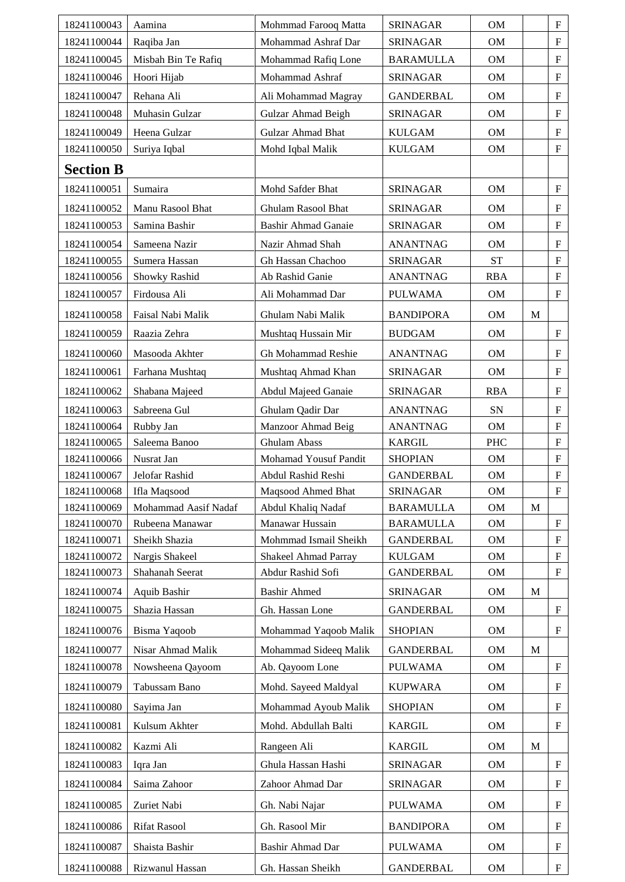| 18241100043      | Aamina               | Mohmmad Farooq Matta        | <b>SRINAGAR</b>  | OM          |              | ${\bf F}$                 |
|------------------|----------------------|-----------------------------|------------------|-------------|--------------|---------------------------|
| 18241100044      | Raqiba Jan           | Mohammad Ashraf Dar         | <b>SRINAGAR</b>  | OM          |              | ${\bf F}$                 |
| 18241100045      | Misbah Bin Te Rafiq  | Mohammad Rafiq Lone         | <b>BARAMULLA</b> | OM          |              | ${\bf F}$                 |
| 18241100046      | Hoori Hijab          | Mohammad Ashraf             | <b>SRINAGAR</b>  | <b>OM</b>   |              | ${\bf F}$                 |
| 18241100047      | Rehana Ali           | Ali Mohammad Magray         | <b>GANDERBAL</b> | <b>OM</b>   |              | ${\bf F}$                 |
| 18241100048      | Muhasin Gulzar       | Gulzar Ahmad Beigh          | <b>SRINAGAR</b>  | OM          |              | ${\bf F}$                 |
| 18241100049      | Heena Gulzar         | Gulzar Ahmad Bhat           | <b>KULGAM</b>    | OM          |              | ${\bf F}$                 |
| 18241100050      | Suriya Iqbal         | Mohd Iqbal Malik            | <b>KULGAM</b>    | OM          |              | ${\bf F}$                 |
| <b>Section B</b> |                      |                             |                  |             |              |                           |
| 18241100051      | Sumaira              | Mohd Safder Bhat            | <b>SRINAGAR</b>  | OM          |              | ${\bf F}$                 |
| 18241100052      | Manu Rasool Bhat     | Ghulam Rasool Bhat          | <b>SRINAGAR</b>  | OM          |              | ${\bf F}$                 |
| 18241100053      | Samina Bashir        | <b>Bashir Ahmad Ganaie</b>  | <b>SRINAGAR</b>  | OM          |              | ${\bf F}$                 |
| 18241100054      | Sameena Nazir        | Nazir Ahmad Shah            | <b>ANANTNAG</b>  | <b>OM</b>   |              | ${\bf F}$                 |
| 18241100055      | Sumera Hassan        | Gh Hassan Chachoo           | <b>SRINAGAR</b>  | <b>ST</b>   |              | ${\bf F}$                 |
| 18241100056      | Showky Rashid        | Ab Rashid Ganie             | <b>ANANTNAG</b>  | <b>RBA</b>  |              | ${\bf F}$                 |
| 18241100057      | Firdousa Ali         | Ali Mohammad Dar            | <b>PULWAMA</b>   | <b>OM</b>   |              | ${\bf F}$                 |
| 18241100058      | Faisal Nabi Malik    | Ghulam Nabi Malik           | <b>BANDIPORA</b> | OM          | M            |                           |
| 18241100059      | Raazia Zehra         | Mushtaq Hussain Mir         | <b>BUDGAM</b>    | OM          |              | ${\bf F}$                 |
| 18241100060      | Masooda Akhter       | Gh Mohammad Reshie          | <b>ANANTNAG</b>  | OM          |              | ${\bf F}$                 |
| 18241100061      | Farhana Mushtaq      | Mushtaq Ahmad Khan          | <b>SRINAGAR</b>  | OM          |              | ${\bf F}$                 |
| 18241100062      | Shabana Majeed       | Abdul Majeed Ganaie         | <b>SRINAGAR</b>  | <b>RBA</b>  |              | ${\bf F}$                 |
| 18241100063      | Sabreena Gul         | Ghulam Qadir Dar            | <b>ANANTNAG</b>  | SN          |              | ${\bf F}$                 |
| 18241100064      | Rubby Jan            | Manzoor Ahmad Beig          | <b>ANANTNAG</b>  | OM          |              | ${\bf F}$                 |
| 18241100065      | Saleema Banoo        | Ghulam Abass                | <b>KARGIL</b>    | <b>PHC</b>  |              | $\boldsymbol{\mathrm{F}}$ |
| 18241100066      | Nusrat Jan           | Mohamad Yousuf Pandit       | <b>SHOPIAN</b>   | OM          |              | ${\bf F}$                 |
| 18241100067      | Jelofar Rashid       | Abdul Rashid Reshi          | <b>GANDERBAL</b> | OM          |              | ${\bf F}$                 |
| 18241100068      | Ifla Maqsood         | Maqsood Ahmed Bhat          | <b>SRINAGAR</b>  | OM          |              | ${\bf F}$                 |
| 18241100069      | Mohammad Aasif Nadaf | Abdul Khaliq Nadaf          | <b>BARAMULLA</b> | <b>OM</b>   | $\mathbf{M}$ |                           |
| 18241100070      | Rubeena Manawar      | Manawar Hussain             | <b>BARAMULLA</b> | OM          |              | ${\bf F}$                 |
| 18241100071      | Sheikh Shazia        | Mohmmad Ismail Sheikh       | <b>GANDERBAL</b> | $_{\rm OM}$ |              | ${\bf F}$                 |
| 18241100072      | Nargis Shakeel       | <b>Shakeel Ahmad Parray</b> | <b>KULGAM</b>    | OM          |              | ${\bf F}$                 |
| 18241100073      | Shahanah Seerat      | Abdur Rashid Sofi           | <b>GANDERBAL</b> | $_{\rm OM}$ |              | ${\bf F}$                 |
| 18241100074      | Aquib Bashir         | <b>Bashir Ahmed</b>         | <b>SRINAGAR</b>  | OM          | M            |                           |
| 18241100075      | Shazia Hassan        | Gh. Hassan Lone             | <b>GANDERBAL</b> | $_{\rm OM}$ |              | ${\bf F}$                 |
| 18241100076      | Bisma Yaqoob         | Mohammad Yaqoob Malik       | <b>SHOPIAN</b>   | <b>OM</b>   |              | ${\bf F}$                 |
| 18241100077      | Nisar Ahmad Malik    | Mohammad Sideeq Malik       | <b>GANDERBAL</b> | OM          | M            |                           |
| 18241100078      | Nowsheena Qayoom     | Ab. Qayoom Lone             | <b>PULWAMA</b>   | OM          |              | ${\bf F}$                 |
| 18241100079      | Tabussam Bano        | Mohd. Sayeed Maldyal        | <b>KUPWARA</b>   | OM          |              | $\boldsymbol{\mathrm{F}}$ |
| 18241100080      | Sayima Jan           | Mohammad Ayoub Malik        | <b>SHOPIAN</b>   | OM          |              | $\boldsymbol{\mathrm{F}}$ |
| 18241100081      | Kulsum Akhter        | Mohd. Abdullah Balti        | <b>KARGIL</b>    | OM          |              | ${\bf F}$                 |
| 18241100082      | Kazmi Ali            | Rangeen Ali                 | <b>KARGIL</b>    | OM          | $\mathbf M$  |                           |
| 18241100083      | Iqra Jan             | Ghula Hassan Hashi          | <b>SRINAGAR</b>  | OM          |              | $\boldsymbol{\mathrm{F}}$ |
| 18241100084      | Saima Zahoor         | Zahoor Ahmad Dar            | <b>SRINAGAR</b>  | OM          |              | $\boldsymbol{\mathrm{F}}$ |
| 18241100085      | Zuriet Nabi          | Gh. Nabi Najar              | <b>PULWAMA</b>   | OM          |              | ${\bf F}$                 |
| 18241100086      | <b>Rifat Rasool</b>  | Gh. Rasool Mir              | <b>BANDIPORA</b> | OM          |              | $\boldsymbol{\mathrm{F}}$ |
| 18241100087      | Shaista Bashir       | <b>Bashir Ahmad Dar</b>     | <b>PULWAMA</b>   | OM          |              | ${\bf F}$                 |
|                  |                      |                             |                  |             |              |                           |
| 18241100088      | Rizwanul Hassan      | Gh. Hassan Sheikh           | <b>GANDERBAL</b> | $_{\rm OM}$ |              | ${\bf F}$                 |